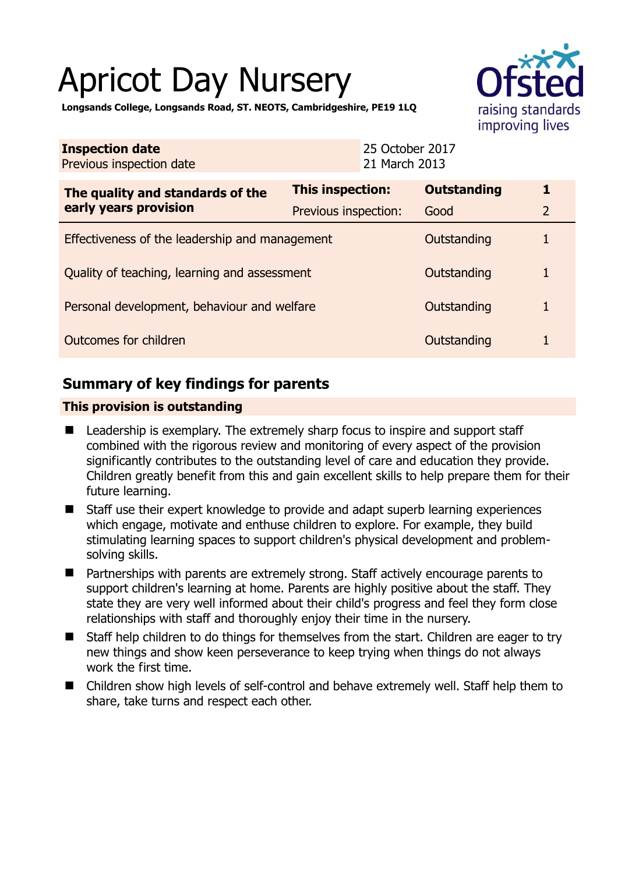# Apricot Day Nursery



**Longsands College, Longsands Road, ST. NEOTS, Cambridgeshire, PE19 1LQ** 

| <b>Inspection date</b><br>Previous inspection date        | 25 October 2017<br>21 March 2013 |                    |                |
|-----------------------------------------------------------|----------------------------------|--------------------|----------------|
| The quality and standards of the<br>early years provision | This inspection:                 | <b>Outstanding</b> | 1              |
|                                                           | Previous inspection:             | Good               | $\overline{2}$ |
| Effectiveness of the leadership and management            |                                  | Outstanding        |                |
| Quality of teaching, learning and assessment              |                                  | Outstanding        | $\mathbf{1}$   |
| Personal development, behaviour and welfare               |                                  | Outstanding        |                |
| Outcomes for children                                     |                                  | Outstanding        |                |

# **Summary of key findings for parents**

## **This provision is outstanding**

- Leadership is exemplary. The extremely sharp focus to inspire and support staff combined with the rigorous review and monitoring of every aspect of the provision significantly contributes to the outstanding level of care and education they provide. Children greatly benefit from this and gain excellent skills to help prepare them for their future learning.
- Staff use their expert knowledge to provide and adapt superb learning experiences which engage, motivate and enthuse children to explore. For example, they build stimulating learning spaces to support children's physical development and problemsolving skills.
- Partnerships with parents are extremely strong. Staff actively encourage parents to support children's learning at home. Parents are highly positive about the staff. They state they are very well informed about their child's progress and feel they form close relationships with staff and thoroughly enjoy their time in the nursery.
- Staff help children to do things for themselves from the start. Children are eager to try new things and show keen perseverance to keep trying when things do not always work the first time.
- Children show high levels of self-control and behave extremely well. Staff help them to share, take turns and respect each other.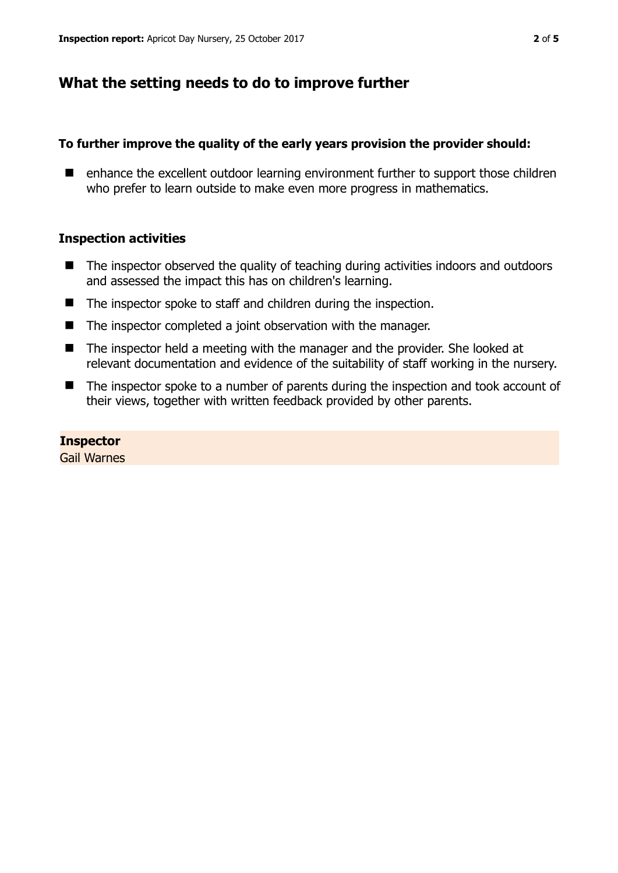## **What the setting needs to do to improve further**

## **To further improve the quality of the early years provision the provider should:**

■ enhance the excellent outdoor learning environment further to support those children who prefer to learn outside to make even more progress in mathematics.

## **Inspection activities**

- The inspector observed the quality of teaching during activities indoors and outdoors and assessed the impact this has on children's learning.
- The inspector spoke to staff and children during the inspection.
- The inspector completed a joint observation with the manager.
- The inspector held a meeting with the manager and the provider. She looked at relevant documentation and evidence of the suitability of staff working in the nursery.
- The inspector spoke to a number of parents during the inspection and took account of their views, together with written feedback provided by other parents.

## **Inspector**

Gail Warnes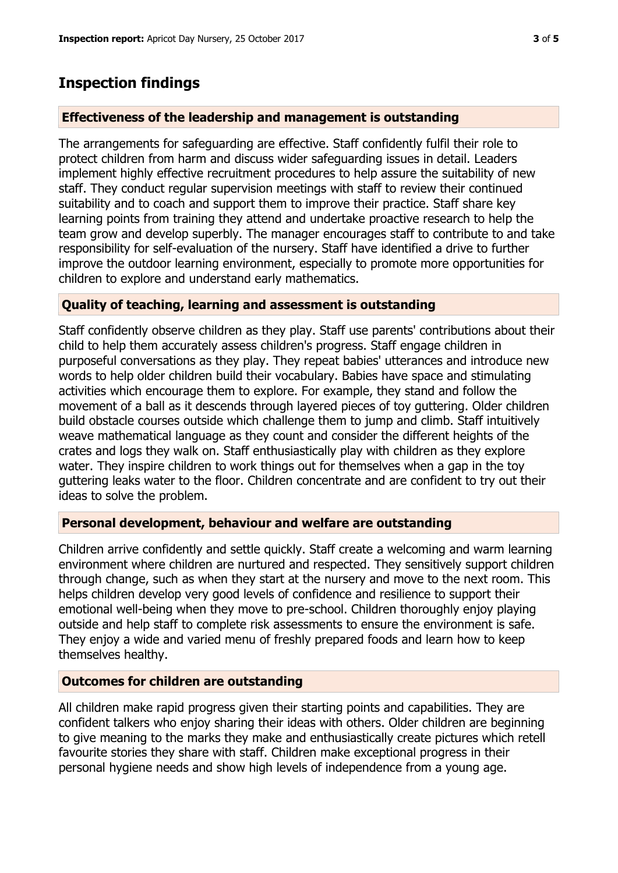# **Inspection findings**

## **Effectiveness of the leadership and management is outstanding**

The arrangements for safeguarding are effective. Staff confidently fulfil their role to protect children from harm and discuss wider safeguarding issues in detail. Leaders implement highly effective recruitment procedures to help assure the suitability of new staff. They conduct regular supervision meetings with staff to review their continued suitability and to coach and support them to improve their practice. Staff share key learning points from training they attend and undertake proactive research to help the team grow and develop superbly. The manager encourages staff to contribute to and take responsibility for self-evaluation of the nursery. Staff have identified a drive to further improve the outdoor learning environment, especially to promote more opportunities for children to explore and understand early mathematics.

## **Quality of teaching, learning and assessment is outstanding**

Staff confidently observe children as they play. Staff use parents' contributions about their child to help them accurately assess children's progress. Staff engage children in purposeful conversations as they play. They repeat babies' utterances and introduce new words to help older children build their vocabulary. Babies have space and stimulating activities which encourage them to explore. For example, they stand and follow the movement of a ball as it descends through layered pieces of toy guttering. Older children build obstacle courses outside which challenge them to jump and climb. Staff intuitively weave mathematical language as they count and consider the different heights of the crates and logs they walk on. Staff enthusiastically play with children as they explore water. They inspire children to work things out for themselves when a gap in the toy guttering leaks water to the floor. Children concentrate and are confident to try out their ideas to solve the problem.

## **Personal development, behaviour and welfare are outstanding**

Children arrive confidently and settle quickly. Staff create a welcoming and warm learning environment where children are nurtured and respected. They sensitively support children through change, such as when they start at the nursery and move to the next room. This helps children develop very good levels of confidence and resilience to support their emotional well-being when they move to pre-school. Children thoroughly enjoy playing outside and help staff to complete risk assessments to ensure the environment is safe. They enjoy a wide and varied menu of freshly prepared foods and learn how to keep themselves healthy.

## **Outcomes for children are outstanding**

All children make rapid progress given their starting points and capabilities. They are confident talkers who enjoy sharing their ideas with others. Older children are beginning to give meaning to the marks they make and enthusiastically create pictures which retell favourite stories they share with staff. Children make exceptional progress in their personal hygiene needs and show high levels of independence from a young age.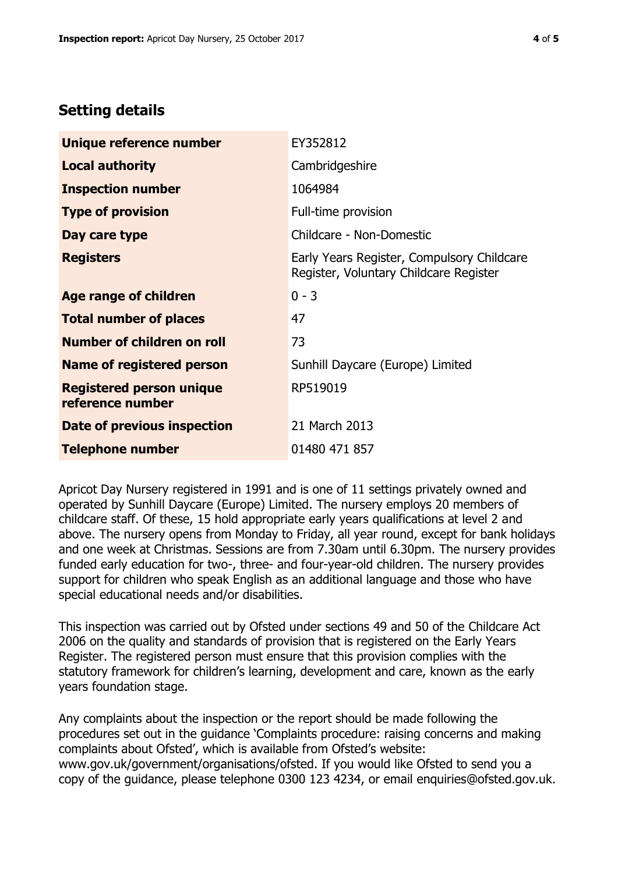## **Setting details**

| Unique reference number                             | EY352812                                                                             |  |
|-----------------------------------------------------|--------------------------------------------------------------------------------------|--|
| <b>Local authority</b>                              | Cambridgeshire                                                                       |  |
| <b>Inspection number</b>                            | 1064984                                                                              |  |
| <b>Type of provision</b>                            | Full-time provision                                                                  |  |
| Day care type                                       | Childcare - Non-Domestic                                                             |  |
| <b>Registers</b>                                    | Early Years Register, Compulsory Childcare<br>Register, Voluntary Childcare Register |  |
| Age range of children                               | $0 - 3$                                                                              |  |
| <b>Total number of places</b>                       | 47                                                                                   |  |
| Number of children on roll                          | 73                                                                                   |  |
| Name of registered person                           | Sunhill Daycare (Europe) Limited                                                     |  |
| <b>Registered person unique</b><br>reference number | RP519019                                                                             |  |
| <b>Date of previous inspection</b>                  | 21 March 2013                                                                        |  |
| <b>Telephone number</b>                             | 01480 471 857                                                                        |  |

Apricot Day Nursery registered in 1991 and is one of 11 settings privately owned and operated by Sunhill Daycare (Europe) Limited. The nursery employs 20 members of childcare staff. Of these, 15 hold appropriate early years qualifications at level 2 and above. The nursery opens from Monday to Friday, all year round, except for bank holidays and one week at Christmas. Sessions are from 7.30am until 6.30pm. The nursery provides funded early education for two-, three- and four-year-old children. The nursery provides support for children who speak English as an additional language and those who have special educational needs and/or disabilities.

This inspection was carried out by Ofsted under sections 49 and 50 of the Childcare Act 2006 on the quality and standards of provision that is registered on the Early Years Register. The registered person must ensure that this provision complies with the statutory framework for children's learning, development and care, known as the early years foundation stage.

Any complaints about the inspection or the report should be made following the procedures set out in the guidance 'Complaints procedure: raising concerns and making complaints about Ofsted', which is available from Ofsted's website: www.gov.uk/government/organisations/ofsted. If you would like Ofsted to send you a copy of the guidance, please telephone 0300 123 4234, or email enquiries@ofsted.gov.uk.